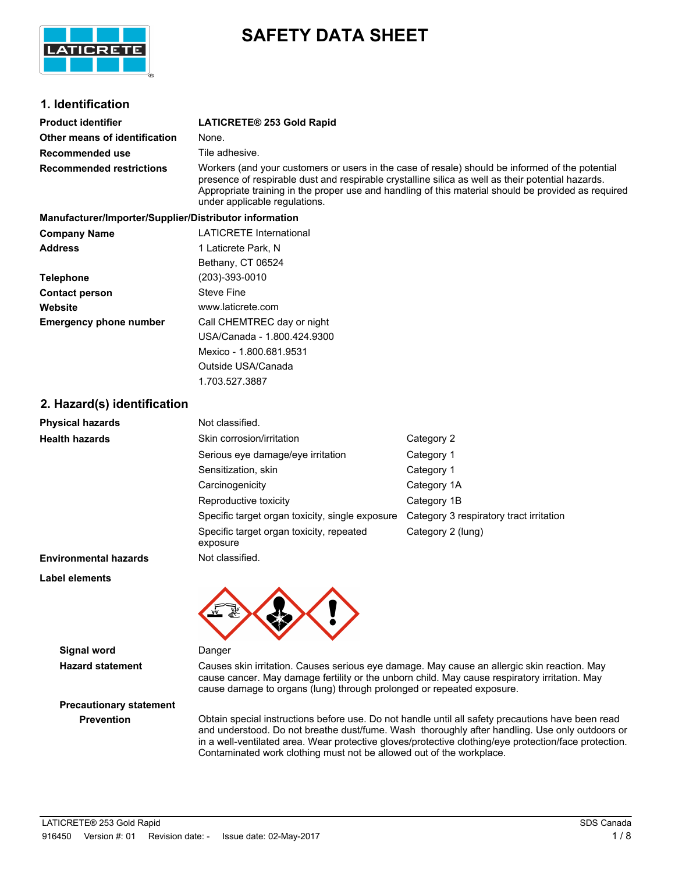

# **SAFETY DATA SHEET**

## **1. Identification**

| <b>Product identifier</b>       | LATICRETE® 253 Gold Rapid                                                                                                                                                                                                                                                                                                                    |
|---------------------------------|----------------------------------------------------------------------------------------------------------------------------------------------------------------------------------------------------------------------------------------------------------------------------------------------------------------------------------------------|
| Other means of identification   | None.                                                                                                                                                                                                                                                                                                                                        |
| Recommended use                 | Tile adhesive.                                                                                                                                                                                                                                                                                                                               |
| <b>Recommended restrictions</b> | Workers (and your customers or users in the case of resale) should be informed of the potential<br>presence of respirable dust and respirable crystalline silica as well as their potential hazards.<br>Appropriate training in the proper use and handling of this material should be provided as required<br>under applicable regulations. |

| Manufacturer/Importer/Supplier/Distributor information |                                |  |  |
|--------------------------------------------------------|--------------------------------|--|--|
| <b>Company Name</b>                                    | <b>LATICRETE International</b> |  |  |
| <b>Address</b>                                         | 1 Laticrete Park, N            |  |  |
|                                                        | Bethany, CT 06524              |  |  |
| <b>Telephone</b>                                       | (203)-393-0010                 |  |  |
| <b>Contact person</b>                                  | Steve Fine                     |  |  |
| Website                                                | www.laticrete.com              |  |  |
| <b>Emergency phone number</b>                          | Call CHEMTREC day or night     |  |  |
|                                                        | USA/Canada - 1.800.424.9300    |  |  |
|                                                        | Mexico - 1.800.681.9531        |  |  |
|                                                        | Outside USA/Canada             |  |  |

1.703.527.3887

## **2. Hazard(s) identification**

| <b>Physical hazards</b>      | Not classified.                                      |                                         |
|------------------------------|------------------------------------------------------|-----------------------------------------|
| <b>Health hazards</b>        | Skin corrosion/irritation                            | Category 2                              |
|                              | Serious eye damage/eye irritation                    | Category 1                              |
|                              | Sensitization, skin                                  | Category 1                              |
|                              | Carcinogenicity                                      | Category 1A                             |
|                              | Reproductive toxicity                                | Category 1B                             |
|                              | Specific target organ toxicity, single exposure      | Category 3 respiratory tract irritation |
|                              | Specific target organ toxicity, repeated<br>exposure | Category 2 (lung)                       |
| <b>Environmental hazards</b> | Not classified.                                      |                                         |

**Label elements**



**Signal word** Danger

**Hazard statement** Causes skin irritation. Causes serious eye damage. May cause an allergic skin reaction. May cause cancer. May damage fertility or the unborn child. May cause respiratory irritation. May cause damage to organs (lung) through prolonged or repeated exposure.

# **Precautionary statement**

**Prevention** Obtain special instructions before use. Do not handle until all safety precautions have been read and understood. Do not breathe dust/fume. Wash thoroughly after handling. Use only outdoors or in a well-ventilated area. Wear protective gloves/protective clothing/eye protection/face protection. Contaminated work clothing must not be allowed out of the workplace.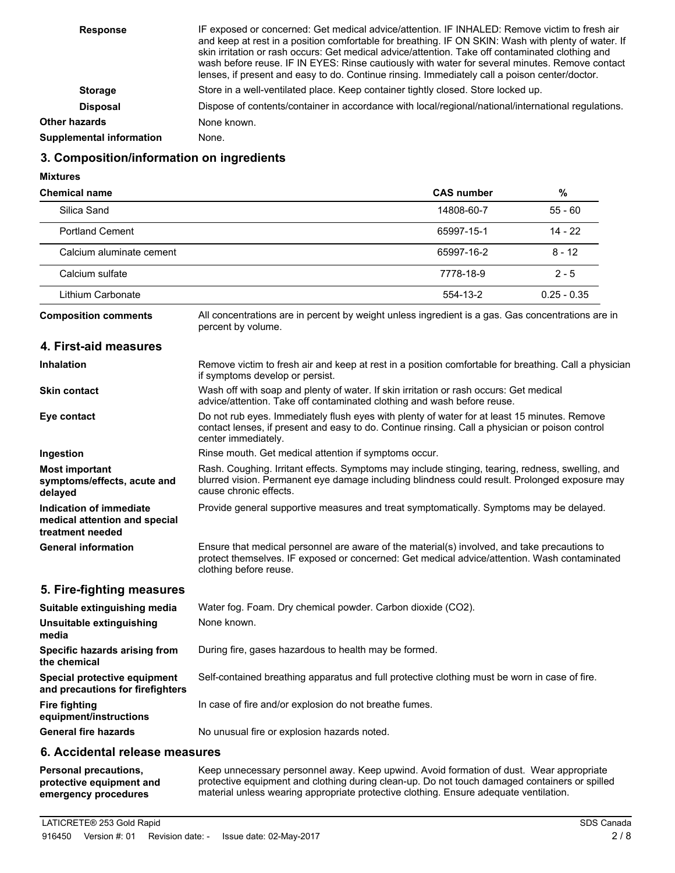| <b>Response</b>                 | IF exposed or concerned: Get medical advice/attention. IF INHALED: Remove victim to fresh air<br>and keep at rest in a position comfortable for breathing. IF ON SKIN: Wash with plenty of water. If<br>skin irritation or rash occurs: Get medical advice/attention. Take off contaminated clothing and<br>wash before reuse. IF IN EYES: Rinse cautiously with water for several minutes. Remove contact<br>lenses, if present and easy to do. Continue rinsing. Immediately call a poison center/doctor. |
|---------------------------------|-------------------------------------------------------------------------------------------------------------------------------------------------------------------------------------------------------------------------------------------------------------------------------------------------------------------------------------------------------------------------------------------------------------------------------------------------------------------------------------------------------------|
| <b>Storage</b>                  | Store in a well-ventilated place. Keep container tightly closed. Store locked up.                                                                                                                                                                                                                                                                                                                                                                                                                           |
| <b>Disposal</b>                 | Dispose of contents/container in accordance with local/regional/national/international regulations.                                                                                                                                                                                                                                                                                                                                                                                                         |
| <b>Other hazards</b>            | None known.                                                                                                                                                                                                                                                                                                                                                                                                                                                                                                 |
| <b>Supplemental information</b> | None.                                                                                                                                                                                                                                                                                                                                                                                                                                                                                                       |

## **3. Composition/information on ingredients**

**Mixtures**

| <b>Chemical name</b>                                                         |                                                                                                                                                                                                                             | <b>CAS number</b> | %             |  |
|------------------------------------------------------------------------------|-----------------------------------------------------------------------------------------------------------------------------------------------------------------------------------------------------------------------------|-------------------|---------------|--|
| Silica Sand                                                                  |                                                                                                                                                                                                                             | 14808-60-7        | $55 - 60$     |  |
| <b>Portland Cement</b>                                                       |                                                                                                                                                                                                                             | 65997-15-1        | $14 - 22$     |  |
| Calcium aluminate cement                                                     |                                                                                                                                                                                                                             | 65997-16-2        | $8 - 12$      |  |
| Calcium sulfate                                                              |                                                                                                                                                                                                                             | 7778-18-9         | $2 - 5$       |  |
| Lithium Carbonate                                                            |                                                                                                                                                                                                                             | 554-13-2          | $0.25 - 0.35$ |  |
| <b>Composition comments</b>                                                  | All concentrations are in percent by weight unless ingredient is a gas. Gas concentrations are in<br>percent by volume.                                                                                                     |                   |               |  |
| 4. First-aid measures                                                        |                                                                                                                                                                                                                             |                   |               |  |
| <b>Inhalation</b>                                                            | Remove victim to fresh air and keep at rest in a position comfortable for breathing. Call a physician<br>if symptoms develop or persist.                                                                                    |                   |               |  |
| <b>Skin contact</b>                                                          | Wash off with soap and plenty of water. If skin irritation or rash occurs: Get medical<br>advice/attention. Take off contaminated clothing and wash before reuse.                                                           |                   |               |  |
| Eye contact                                                                  | Do not rub eyes. Immediately flush eyes with plenty of water for at least 15 minutes. Remove<br>contact lenses, if present and easy to do. Continue rinsing. Call a physician or poison control<br>center immediately.      |                   |               |  |
| Ingestion                                                                    | Rinse mouth. Get medical attention if symptoms occur.                                                                                                                                                                       |                   |               |  |
| <b>Most important</b><br>symptoms/effects, acute and<br>delayed              | Rash. Coughing. Irritant effects. Symptoms may include stinging, tearing, redness, swelling, and<br>blurred vision. Permanent eye damage including blindness could result. Prolonged exposure may<br>cause chronic effects. |                   |               |  |
| Indication of immediate<br>medical attention and special<br>treatment needed | Provide general supportive measures and treat symptomatically. Symptoms may be delayed.                                                                                                                                     |                   |               |  |
| <b>General information</b>                                                   | Ensure that medical personnel are aware of the material(s) involved, and take precautions to<br>protect themselves. IF exposed or concerned: Get medical advice/attention. Wash contaminated<br>clothing before reuse.      |                   |               |  |
| 5. Fire-fighting measures                                                    |                                                                                                                                                                                                                             |                   |               |  |
| Suitable extinguishing media                                                 | Water fog. Foam. Dry chemical powder. Carbon dioxide (CO2).                                                                                                                                                                 |                   |               |  |
| Unsuitable extinguishing<br>media                                            | None known.                                                                                                                                                                                                                 |                   |               |  |
| Specific hazards arising from<br>the chemical                                | During fire, gases hazardous to health may be formed.                                                                                                                                                                       |                   |               |  |
| Special protective equipment<br>and precautions for firefighters             | Self-contained breathing apparatus and full protective clothing must be worn in case of fire.                                                                                                                               |                   |               |  |
| <b>Fire fighting</b><br>equipment/instructions                               | In case of fire and/or explosion do not breathe fumes.                                                                                                                                                                      |                   |               |  |
| <b>General fire hazards</b>                                                  | No unusual fire or explosion hazards noted.                                                                                                                                                                                 |                   |               |  |
| 6. Accidental release measures                                               |                                                                                                                                                                                                                             |                   |               |  |

Keep unnecessary personnel away. Keep upwind. Avoid formation of dust. Wear appropriate protective equipment and clothing during clean-up. Do not touch damaged containers or spilled material unless wearing appropriate protective clothing. Ensure adequate ventilation. **Personal precautions, protective equipment and emergency procedures**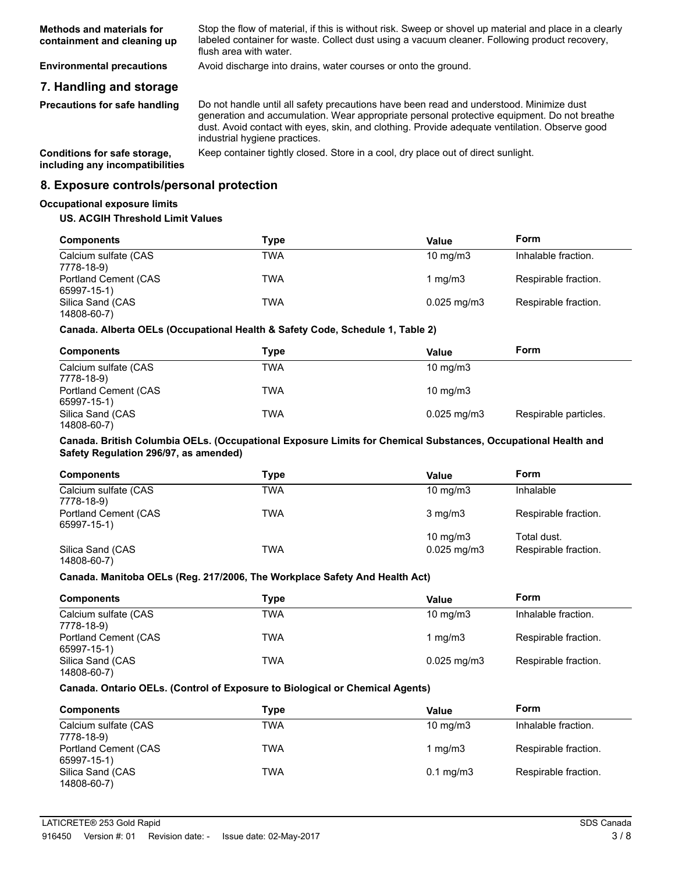| Methods and materials for   | Stop the flow of material, if this is without risk. Sweep or shovel up material and place in a clearly |
|-----------------------------|--------------------------------------------------------------------------------------------------------|
| containment and cleaning up | labeled container for waste. Collect dust using a vacuum cleaner. Following product recovery,          |
|                             | flush area with water.                                                                                 |

**Environmental precautions** Avoid discharge into drains, water courses or onto the ground.

## **7. Handling and storage**

**Precautions for safe handling**

Do not handle until all safety precautions have been read and understood. Minimize dust generation and accumulation. Wear appropriate personal protective equipment. Do not breathe dust. Avoid contact with eyes, skin, and clothing. Provide adequate ventilation. Observe good industrial hygiene practices.

**including any incompatibilities**

**Conditions for safe storage,** Keep container tightly closed. Store in a cool, dry place out of direct sunlight.

### **8. Exposure controls/personal protection**

#### **Occupational exposure limits**

#### **US. ACGIH Threshold Limit Values**

| <b>Components</b>                   | Type       | Value                   | Form                 |
|-------------------------------------|------------|-------------------------|----------------------|
| Calcium sulfate (CAS<br>7778-18-9)  | TWA        | $10 \text{ mg/m}$       | Inhalable fraction.  |
| Portland Cement (CAS<br>65997-15-1) | <b>TWA</b> | 1 mg/m $3$              | Respirable fraction. |
| Silica Sand (CAS<br>14808-60-7)     | TWA        | $0.025 \,\mathrm{mq/m}$ | Respirable fraction. |

## **Canada. Alberta OELs (Occupational Health & Safety Code, Schedule 1, Table 2)**

| <b>Components</b>                   | Type | Value                    | Form                  |
|-------------------------------------|------|--------------------------|-----------------------|
| Calcium sulfate (CAS<br>7778-18-9)  | TWA  | $10 \text{ mg/m}$        |                       |
| Portland Cement (CAS<br>65997-15-1) | TWA  | $10 \text{ mg/m}$        |                       |
| Silica Sand (CAS<br>14808-60-7)     | TWA  | $0.025 \,\mathrm{mq/m3}$ | Respirable particles. |

#### **Canada. British Columbia OELs. (Occupational Exposure Limits for Chemical Substances, Occupational Health and Safety Regulation 296/97, as amended)**

| <b>Components</b>                   | Type | Value            | Form                 |
|-------------------------------------|------|------------------|----------------------|
| Calcium sulfate (CAS<br>7778-18-9)  | TWA  | 10 $mq/m3$       | Inhalable            |
| Portland Cement (CAS<br>65997-15-1) | TWA  | $3 \text{ mg/m}$ | Respirable fraction. |
|                                     |      | 10 $mq/m3$       | Total dust.          |
| Silica Sand (CAS<br>14808-60-7)     | TWA  | $0.025$ mg/m $3$ | Respirable fraction. |

# **Canada. Manitoba OELs (Reg. 217/2006, The Workplace Safety And Health Act)**

| <b>Components</b>                   | Type | Value             | Form                 |
|-------------------------------------|------|-------------------|----------------------|
| Calcium sulfate (CAS<br>7778-18-9)  | TWA  | $10 \text{ mg/m}$ | Inhalable fraction.  |
| Portland Cement (CAS<br>65997-15-1) | TWA  | 1 $mq/m3$         | Respirable fraction. |
| Silica Sand (CAS<br>14808-60-7)     | TWA  | $0.025$ mg/m $3$  | Respirable fraction. |

#### **Canada. Ontario OELs. (Control of Exposure to Biological or Chemical Agents)**

| <b>Components</b>                   | Type | Value              | Form                 |
|-------------------------------------|------|--------------------|----------------------|
| Calcium sulfate (CAS<br>7778-18-9)  | TWA  | $10 \text{ mg/m}$  | Inhalable fraction.  |
| Portland Cement (CAS<br>65997-15-1) | TWA  | 1 mg/m $3$         | Respirable fraction. |
| Silica Sand (CAS<br>14808-60-7)     | TWA  | $0.1 \text{ mg/m}$ | Respirable fraction. |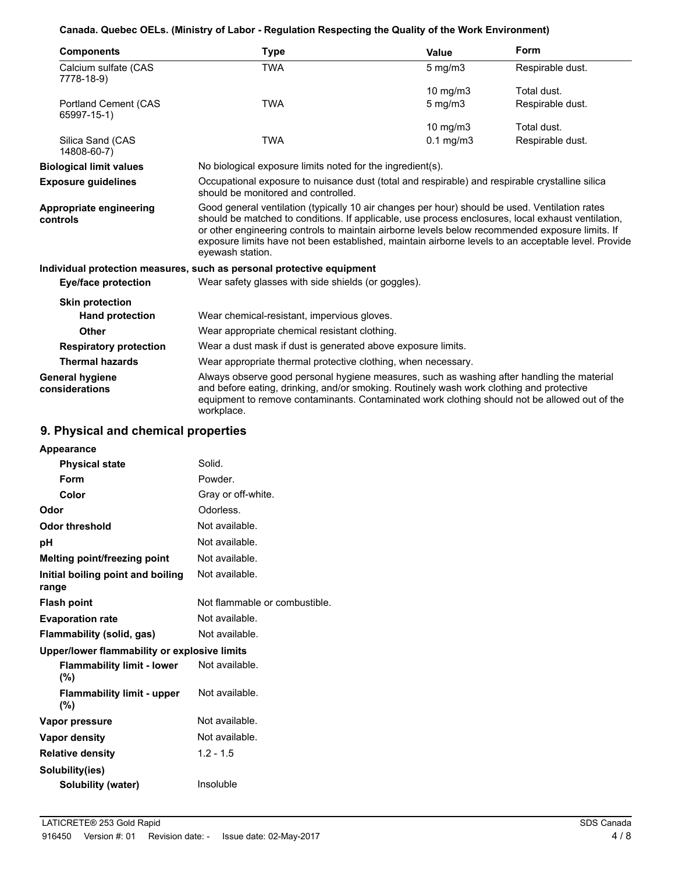## **Canada. Quebec OELs. (Ministry of Labor - Regulation Respecting the Quality of the Work Environment)**

| <b>Components</b>                        | Type                                                                                                                                                                                                                                                                                                                                                                                                                               | <b>Value</b>                                                                                    | Form             |  |
|------------------------------------------|------------------------------------------------------------------------------------------------------------------------------------------------------------------------------------------------------------------------------------------------------------------------------------------------------------------------------------------------------------------------------------------------------------------------------------|-------------------------------------------------------------------------------------------------|------------------|--|
| Calcium sulfate (CAS<br>7778-18-9)       | <b>TWA</b>                                                                                                                                                                                                                                                                                                                                                                                                                         | $5$ mg/m $3$                                                                                    | Respirable dust. |  |
|                                          |                                                                                                                                                                                                                                                                                                                                                                                                                                    | 10 mg/m3                                                                                        | Total dust.      |  |
| Portland Cement (CAS<br>65997-15-1)      | <b>TWA</b>                                                                                                                                                                                                                                                                                                                                                                                                                         | $5$ mg/m $3$                                                                                    | Respirable dust. |  |
|                                          |                                                                                                                                                                                                                                                                                                                                                                                                                                    | 10 $mg/m3$                                                                                      | Total dust.      |  |
| Silica Sand (CAS<br>14808-60-7)          | <b>TWA</b>                                                                                                                                                                                                                                                                                                                                                                                                                         | $0.1$ mg/m $3$                                                                                  | Respirable dust. |  |
| <b>Biological limit values</b>           | No biological exposure limits noted for the ingredient(s).                                                                                                                                                                                                                                                                                                                                                                         |                                                                                                 |                  |  |
| <b>Exposure guidelines</b>               | should be monitored and controlled.                                                                                                                                                                                                                                                                                                                                                                                                | Occupational exposure to nuisance dust (total and respirable) and respirable crystalline silica |                  |  |
| Appropriate engineering<br>controls      | Good general ventilation (typically 10 air changes per hour) should be used. Ventilation rates<br>should be matched to conditions. If applicable, use process enclosures, local exhaust ventilation,<br>or other engineering controls to maintain airborne levels below recommended exposure limits. If<br>exposure limits have not been established, maintain airborne levels to an acceptable level. Provide<br>eyewash station. |                                                                                                 |                  |  |
|                                          | Individual protection measures, such as personal protective equipment                                                                                                                                                                                                                                                                                                                                                              |                                                                                                 |                  |  |
| <b>Eye/face protection</b>               |                                                                                                                                                                                                                                                                                                                                                                                                                                    | Wear safety glasses with side shields (or goggles).                                             |                  |  |
| <b>Skin protection</b>                   |                                                                                                                                                                                                                                                                                                                                                                                                                                    |                                                                                                 |                  |  |
| <b>Hand protection</b>                   |                                                                                                                                                                                                                                                                                                                                                                                                                                    | Wear chemical-resistant, impervious gloves.                                                     |                  |  |
| Other                                    |                                                                                                                                                                                                                                                                                                                                                                                                                                    | Wear appropriate chemical resistant clothing.                                                   |                  |  |
| <b>Respiratory protection</b>            |                                                                                                                                                                                                                                                                                                                                                                                                                                    | Wear a dust mask if dust is generated above exposure limits.                                    |                  |  |
| <b>Thermal hazards</b>                   |                                                                                                                                                                                                                                                                                                                                                                                                                                    | Wear appropriate thermal protective clothing, when necessary.                                   |                  |  |
| <b>General hygiene</b><br>considerations | Always observe good personal hygiene measures, such as washing after handling the material<br>and before eating, drinking, and/or smoking. Routinely wash work clothing and protective<br>equipment to remove contaminants. Contaminated work clothing should not be allowed out of the<br>workplace.                                                                                                                              |                                                                                                 |                  |  |

## **9. Physical and chemical properties**

| Appearance                                   |                               |
|----------------------------------------------|-------------------------------|
| <b>Physical state</b>                        | Solid.                        |
| Form                                         | Powder.                       |
| Color                                        | Gray or off-white.            |
| Odor                                         | Odorless.                     |
| <b>Odor threshold</b>                        | Not available.                |
| рH                                           | Not available.                |
| Melting point/freezing point                 | Not available.                |
| Initial boiling point and boiling<br>range   | Not available.                |
| <b>Flash point</b>                           | Not flammable or combustible. |
| <b>Evaporation rate</b>                      | Not available.                |
| Flammability (solid, gas)                    | Not available.                |
| Upper/lower flammability or explosive limits |                               |
| <b>Flammability limit - lower</b><br>(%)     | Not available.                |
| <b>Flammability limit - upper</b><br>(%)     | Not available.                |
| Vapor pressure                               | Not available.                |
| Vapor density                                | Not available.                |
| <b>Relative density</b>                      | $1.2 - 1.5$                   |
| Solubility(ies)                              |                               |
| Solubility (water)                           | Insoluble                     |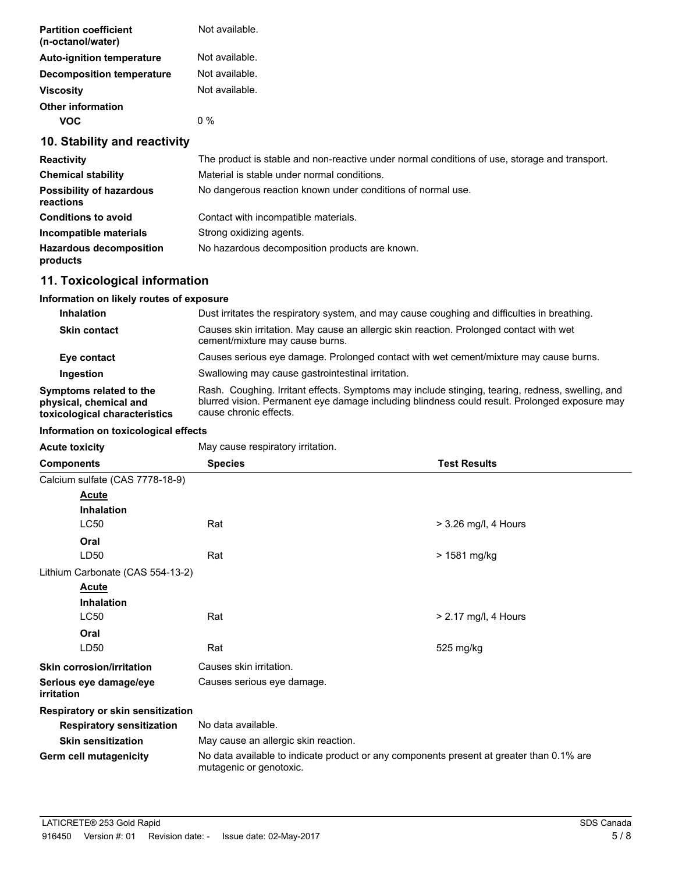| <b>Partition coefficient</b><br>(n-octanol/water) | Not available.                                                                                |
|---------------------------------------------------|-----------------------------------------------------------------------------------------------|
| <b>Auto-ignition temperature</b>                  | Not available.                                                                                |
| Decomposition temperature                         | Not available.                                                                                |
| <b>Viscosity</b>                                  | Not available.                                                                                |
| <b>Other information</b>                          |                                                                                               |
| <b>VOC</b>                                        | $0\%$                                                                                         |
| 10. Stability and reactivity                      |                                                                                               |
| <b>Reactivity</b>                                 | The product is stable and non-reactive under normal conditions of use, storage and transport. |
| <b>Chemical stability</b>                         | Material is stable under normal conditions.                                                   |
| <b>Possibility of hazardous</b>                   | No dangerous reaction known under conditions of normal use.                                   |

| ----------------------<br>reactions        |                                                |
|--------------------------------------------|------------------------------------------------|
| <b>Conditions to avoid</b>                 | Contact with incompatible materials.           |
| Incompatible materials                     | Strong oxidizing agents.                       |
| <b>Hazardous decomposition</b><br>products | No hazardous decomposition products are known. |

## **11. Toxicological information**

## **Information on likely routes of exposure**

| <b>Inhalation</b>                                                                  | Dust irritates the respiratory system, and may cause coughing and difficulties in breathing.                                                                                                                                |
|------------------------------------------------------------------------------------|-----------------------------------------------------------------------------------------------------------------------------------------------------------------------------------------------------------------------------|
| <b>Skin contact</b>                                                                | Causes skin irritation. May cause an allergic skin reaction. Prolonged contact with wet<br>cement/mixture may cause burns.                                                                                                  |
| Eye contact                                                                        | Causes serious eye damage. Prolonged contact with wet cement/mixture may cause burns.                                                                                                                                       |
| Ingestion                                                                          | Swallowing may cause gastrointestinal irritation.                                                                                                                                                                           |
| Symptoms related to the<br>physical, chemical and<br>toxicological characteristics | Rash. Coughing. Irritant effects. Symptoms may include stinging, tearing, redness, swelling, and<br>blurred vision. Permanent eye damage including blindness could result. Prolonged exposure may<br>cause chronic effects. |

## **Information on toxicological effects**

| <b>Acute toxicity</b>                | May cause respiratory irritation.                                                                                   |                        |  |
|--------------------------------------|---------------------------------------------------------------------------------------------------------------------|------------------------|--|
| <b>Components</b>                    | <b>Species</b><br><b>Test Results</b>                                                                               |                        |  |
| Calcium sulfate (CAS 7778-18-9)      |                                                                                                                     |                        |  |
| Acute                                |                                                                                                                     |                        |  |
| <b>Inhalation</b>                    |                                                                                                                     |                        |  |
| <b>LC50</b>                          | Rat                                                                                                                 | $>$ 3.26 mg/l, 4 Hours |  |
| Oral                                 |                                                                                                                     |                        |  |
| LD <sub>50</sub>                     | Rat                                                                                                                 | > 1581 mg/kg           |  |
| Lithium Carbonate (CAS 554-13-2)     |                                                                                                                     |                        |  |
| <b>Acute</b>                         |                                                                                                                     |                        |  |
| <b>Inhalation</b>                    |                                                                                                                     |                        |  |
| <b>LC50</b>                          | Rat                                                                                                                 | > 2.17 mg/l, 4 Hours   |  |
| Oral                                 |                                                                                                                     |                        |  |
| LD50                                 | Rat                                                                                                                 | 525 mg/kg              |  |
| <b>Skin corrosion/irritation</b>     | Causes skin irritation.                                                                                             |                        |  |
| Serious eye damage/eye<br>irritation | Causes serious eye damage.                                                                                          |                        |  |
| Respiratory or skin sensitization    |                                                                                                                     |                        |  |
| <b>Respiratory sensitization</b>     | No data available.                                                                                                  |                        |  |
| <b>Skin sensitization</b>            | May cause an allergic skin reaction.                                                                                |                        |  |
| Germ cell mutagenicity               | No data available to indicate product or any components present at greater than 0.1% are<br>mutagenic or genotoxic. |                        |  |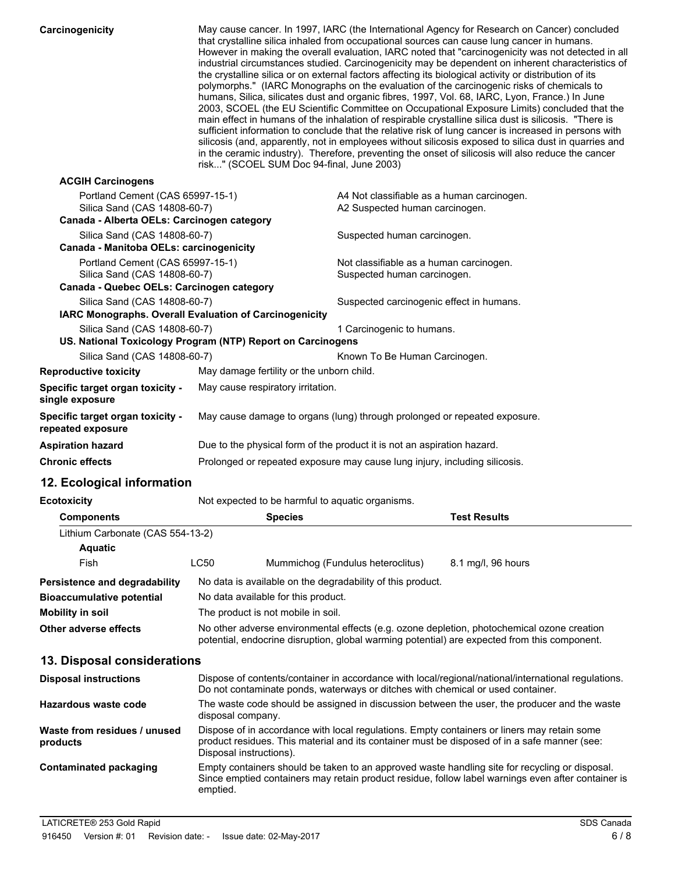| Carcinogenicity                                            | risk" (SCOEL SUM Doc 94-final, June 2003)                   | May cause cancer. In 1997, IARC (the International Agency for Research on Cancer) concluded<br>that crystalline silica inhaled from occupational sources can cause lung cancer in humans.<br>However in making the overall evaluation, IARC noted that "carcinogenicity was not detected in all<br>industrial circumstances studied. Carcinogenicity may be dependent on inherent characteristics of<br>the crystalline silica or on external factors affecting its biological activity or distribution of its<br>polymorphs." (IARC Monographs on the evaluation of the carcinogenic risks of chemicals to<br>humans, Silica, silicates dust and organic fibres, 1997, Vol. 68, IARC, Lyon, France.) In June<br>2003, SCOEL (the EU Scientific Committee on Occupational Exposure Limits) concluded that the<br>main effect in humans of the inhalation of respirable crystalline silica dust is silicosis. "There is<br>sufficient information to conclude that the relative risk of lung cancer is increased in persons with<br>silicosis (and, apparently, not in employees without silicosis exposed to silica dust in quarries and<br>in the ceramic industry). Therefore, preventing the onset of silicosis will also reduce the cancer |
|------------------------------------------------------------|-------------------------------------------------------------|------------------------------------------------------------------------------------------------------------------------------------------------------------------------------------------------------------------------------------------------------------------------------------------------------------------------------------------------------------------------------------------------------------------------------------------------------------------------------------------------------------------------------------------------------------------------------------------------------------------------------------------------------------------------------------------------------------------------------------------------------------------------------------------------------------------------------------------------------------------------------------------------------------------------------------------------------------------------------------------------------------------------------------------------------------------------------------------------------------------------------------------------------------------------------------------------------------------------------------------------|
| <b>ACGIH Carcinogens</b>                                   |                                                             |                                                                                                                                                                                                                                                                                                                                                                                                                                                                                                                                                                                                                                                                                                                                                                                                                                                                                                                                                                                                                                                                                                                                                                                                                                                |
| Portland Cement (CAS 65997-15-1)                           |                                                             | A4 Not classifiable as a human carcinogen.                                                                                                                                                                                                                                                                                                                                                                                                                                                                                                                                                                                                                                                                                                                                                                                                                                                                                                                                                                                                                                                                                                                                                                                                     |
| Silica Sand (CAS 14808-60-7)                               |                                                             | A2 Suspected human carcinogen.                                                                                                                                                                                                                                                                                                                                                                                                                                                                                                                                                                                                                                                                                                                                                                                                                                                                                                                                                                                                                                                                                                                                                                                                                 |
| Canada - Alberta OELs: Carcinogen category                 |                                                             |                                                                                                                                                                                                                                                                                                                                                                                                                                                                                                                                                                                                                                                                                                                                                                                                                                                                                                                                                                                                                                                                                                                                                                                                                                                |
| Silica Sand (CAS 14808-60-7)                               |                                                             | Suspected human carcinogen.                                                                                                                                                                                                                                                                                                                                                                                                                                                                                                                                                                                                                                                                                                                                                                                                                                                                                                                                                                                                                                                                                                                                                                                                                    |
| Canada - Manitoba OELs: carcinogenicity                    |                                                             |                                                                                                                                                                                                                                                                                                                                                                                                                                                                                                                                                                                                                                                                                                                                                                                                                                                                                                                                                                                                                                                                                                                                                                                                                                                |
| Portland Cement (CAS 65997-15-1)                           |                                                             | Not classifiable as a human carcinogen.                                                                                                                                                                                                                                                                                                                                                                                                                                                                                                                                                                                                                                                                                                                                                                                                                                                                                                                                                                                                                                                                                                                                                                                                        |
| Silica Sand (CAS 14808-60-7)                               |                                                             | Suspected human carcinogen.                                                                                                                                                                                                                                                                                                                                                                                                                                                                                                                                                                                                                                                                                                                                                                                                                                                                                                                                                                                                                                                                                                                                                                                                                    |
| Canada - Quebec OELs: Carcinogen category                  |                                                             |                                                                                                                                                                                                                                                                                                                                                                                                                                                                                                                                                                                                                                                                                                                                                                                                                                                                                                                                                                                                                                                                                                                                                                                                                                                |
| Silica Sand (CAS 14808-60-7)                               |                                                             | Suspected carcinogenic effect in humans.                                                                                                                                                                                                                                                                                                                                                                                                                                                                                                                                                                                                                                                                                                                                                                                                                                                                                                                                                                                                                                                                                                                                                                                                       |
|                                                            | IARC Monographs. Overall Evaluation of Carcinogenicity      |                                                                                                                                                                                                                                                                                                                                                                                                                                                                                                                                                                                                                                                                                                                                                                                                                                                                                                                                                                                                                                                                                                                                                                                                                                                |
| Silica Sand (CAS 14808-60-7)                               |                                                             | 1 Carcinogenic to humans.                                                                                                                                                                                                                                                                                                                                                                                                                                                                                                                                                                                                                                                                                                                                                                                                                                                                                                                                                                                                                                                                                                                                                                                                                      |
|                                                            | US. National Toxicology Program (NTP) Report on Carcinogens |                                                                                                                                                                                                                                                                                                                                                                                                                                                                                                                                                                                                                                                                                                                                                                                                                                                                                                                                                                                                                                                                                                                                                                                                                                                |
| Silica Sand (CAS 14808-60-7)                               |                                                             | Known To Be Human Carcinogen.                                                                                                                                                                                                                                                                                                                                                                                                                                                                                                                                                                                                                                                                                                                                                                                                                                                                                                                                                                                                                                                                                                                                                                                                                  |
| <b>Reproductive toxicity</b>                               | May damage fertility or the unborn child.                   |                                                                                                                                                                                                                                                                                                                                                                                                                                                                                                                                                                                                                                                                                                                                                                                                                                                                                                                                                                                                                                                                                                                                                                                                                                                |
| <b>Specific target organ toxicity -</b><br>single exposure | May cause respiratory irritation.                           |                                                                                                                                                                                                                                                                                                                                                                                                                                                                                                                                                                                                                                                                                                                                                                                                                                                                                                                                                                                                                                                                                                                                                                                                                                                |
| Specific target organ toxicity -<br>repeated exposure      |                                                             | May cause damage to organs (lung) through prolonged or repeated exposure.                                                                                                                                                                                                                                                                                                                                                                                                                                                                                                                                                                                                                                                                                                                                                                                                                                                                                                                                                                                                                                                                                                                                                                      |
| <b>Aspiration hazard</b>                                   |                                                             | Due to the physical form of the product it is not an aspiration hazard.                                                                                                                                                                                                                                                                                                                                                                                                                                                                                                                                                                                                                                                                                                                                                                                                                                                                                                                                                                                                                                                                                                                                                                        |
| <b>Chronic effects</b>                                     |                                                             | Prolonged or repeated exposure may cause lung injury, including silicosis.                                                                                                                                                                                                                                                                                                                                                                                                                                                                                                                                                                                                                                                                                                                                                                                                                                                                                                                                                                                                                                                                                                                                                                     |
|                                                            |                                                             |                                                                                                                                                                                                                                                                                                                                                                                                                                                                                                                                                                                                                                                                                                                                                                                                                                                                                                                                                                                                                                                                                                                                                                                                                                                |

## **12. Ecological information**

| Ecotoxicity                          |      | Not expected to be harmful to aquatic organisms.                                                                                                                                           |                     |
|--------------------------------------|------|--------------------------------------------------------------------------------------------------------------------------------------------------------------------------------------------|---------------------|
| <b>Components</b>                    |      | <b>Species</b>                                                                                                                                                                             | <b>Test Results</b> |
| Lithium Carbonate (CAS 554-13-2)     |      |                                                                                                                                                                                            |                     |
| <b>Aquatic</b>                       |      |                                                                                                                                                                                            |                     |
| Fish                                 | LC50 | Mummichog (Fundulus heteroclitus)                                                                                                                                                          | 8.1 mg/l, 96 hours  |
| <b>Persistence and degradability</b> |      | No data is available on the degradability of this product.                                                                                                                                 |                     |
| <b>Bioaccumulative potential</b>     |      | No data available for this product.                                                                                                                                                        |                     |
| Mobility in soil                     |      | The product is not mobile in soil.                                                                                                                                                         |                     |
| Other adverse effects                |      | No other adverse environmental effects (e.g. ozone depletion, photochemical ozone creation<br>potential, endocrine disruption, global warming potential) are expected from this component. |                     |

## **13. Disposal considerations**

| <b>Disposal instructions</b>             | Dispose of contents/container in accordance with local/regional/national/international regulations.<br>Do not contaminate ponds, waterways or ditches with chemical or used container.                                 |
|------------------------------------------|------------------------------------------------------------------------------------------------------------------------------------------------------------------------------------------------------------------------|
| Hazardous waste code                     | The waste code should be assigned in discussion between the user, the producer and the waste<br>disposal company.                                                                                                      |
| Waste from residues / unused<br>products | Dispose of in accordance with local regulations. Empty containers or liners may retain some<br>product residues. This material and its container must be disposed of in a safe manner (see:<br>Disposal instructions). |
| Contaminated packaging                   | Empty containers should be taken to an approved waste handling site for recycling or disposal.<br>Since emptied containers may retain product residue, follow label warnings even after container is<br>emptied.       |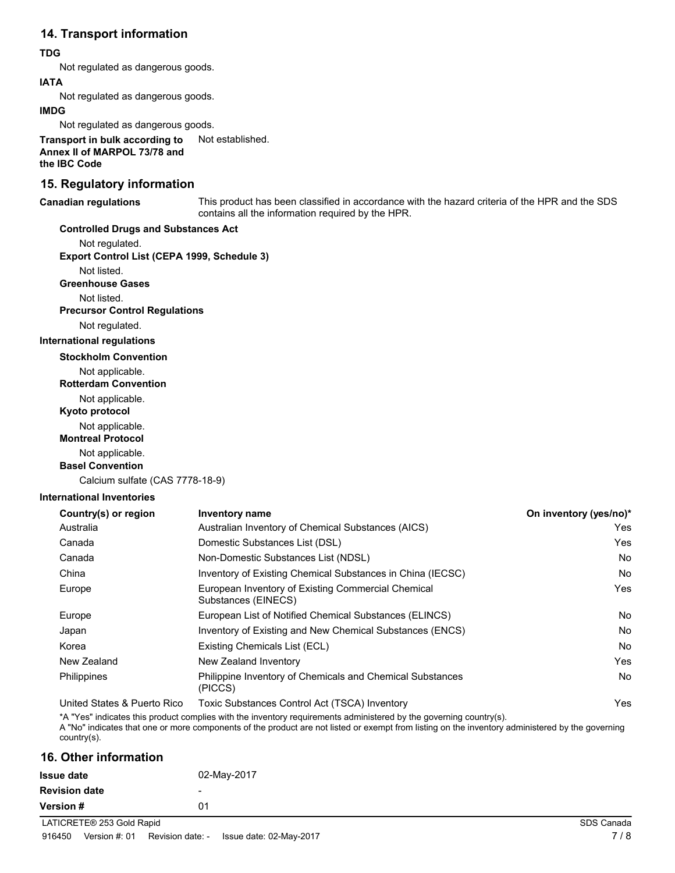## **14. Transport information**

## **TDG**

Not regulated as dangerous goods.

### **IATA**

Not regulated as dangerous goods.

#### **IMDG**

Not regulated as dangerous goods.

**Transport in bulk according to** Not established. **Annex II of MARPOL 73/78 and the IBC Code**

## **15. Regulatory information**

#### **Canadian regulations**

This product has been classified in accordance with the hazard criteria of the HPR and the SDS contains all the information required by the HPR.

## **Controlled Drugs and Substances Act**

Not regulated.

**Export Control List (CEPA 1999, Schedule 3)**

Not listed.

**Greenhouse Gases**

Not listed.

#### **Precursor Control Regulations**

Not regulated.

#### **International regulations**

**Stockholm Convention**

Not applicable.

#### **Rotterdam Convention**

Not applicable.

**Kyoto protocol**

Not applicable.

## **Montreal Protocol**

Not applicable.

## **Basel Convention**

Calcium sulfate (CAS 7778-18-9)

### **International Inventories**

| Country(s) or region | Inventory name                                                            | On inventory (yes/no)* |
|----------------------|---------------------------------------------------------------------------|------------------------|
| Australia            | Australian Inventory of Chemical Substances (AICS)                        | Yes.                   |
| Canada               | Domestic Substances List (DSL)                                            | Yes                    |
| Canada               | Non-Domestic Substances List (NDSL)                                       | No.                    |
| China                | Inventory of Existing Chemical Substances in China (IECSC)                | No.                    |
| Europe               | European Inventory of Existing Commercial Chemical<br>Substances (EINECS) | Yes                    |
| Europe               | European List of Notified Chemical Substances (ELINCS)                    | No.                    |
| Japan                | Inventory of Existing and New Chemical Substances (ENCS)                  | No.                    |
| Korea                | Existing Chemicals List (ECL)                                             | No.                    |
| New Zealand          | New Zealand Inventory                                                     | Yes                    |
| Philippines          | Philippine Inventory of Chemicals and Chemical Substances<br>(PICCS)      | No.                    |
|                      |                                                                           |                        |

United States & Puerto Rico Toxic Substances Control Act (TSCA) Inventory Yes

\*A "Yes" indicates this product complies with the inventory requirements administered by the governing country(s).

A "No" indicates that one or more components of the product are not listed or exempt from listing on the inventory administered by the governing country(s).

## **16. Other information**

| <b>Issue date</b>         | 02-May-2017 |            |
|---------------------------|-------------|------------|
| <b>Revision date</b>      | -           |            |
| Version #                 | 01          |            |
| LATICRETE® 253 Gold Rapid |             | SDS Canada |